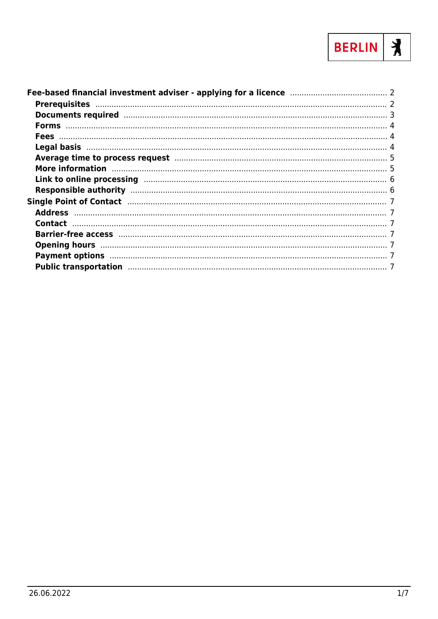

| Average time to process request manufacture and the state state of 5                                            |  |
|-----------------------------------------------------------------------------------------------------------------|--|
| More information manufactured and the manufacture of the state of the state of the state of the state of the s  |  |
|                                                                                                                 |  |
|                                                                                                                 |  |
|                                                                                                                 |  |
|                                                                                                                 |  |
|                                                                                                                 |  |
|                                                                                                                 |  |
|                                                                                                                 |  |
| Payment options manufactured and the control of the control of the control of the control of the control of the |  |
|                                                                                                                 |  |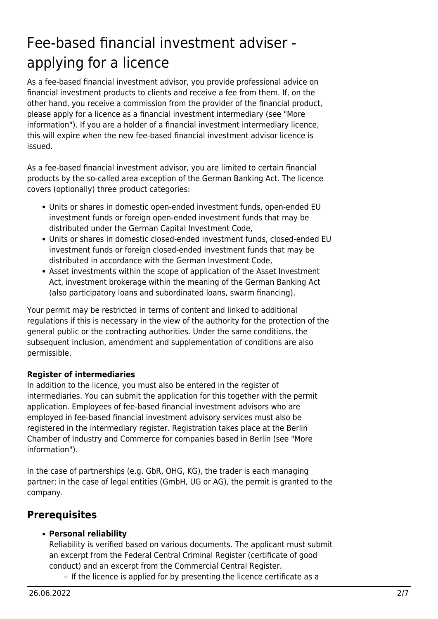# <span id="page-1-0"></span>Fee-based financial investment adviser applying for a licence

As a fee-based financial investment advisor, you provide professional advice on financial investment products to clients and receive a fee from them. If, on the other hand, you receive a commission from the provider of the financial product, please apply for a licence as a financial investment intermediary (see "More information"). If you are a holder of a financial investment intermediary licence, this will expire when the new fee-based financial investment advisor licence is issued.

As a fee-based financial investment advisor, you are limited to certain financial products by the so-called area exception of the German Banking Act. The licence covers (optionally) three product categories:

- Units or shares in domestic open-ended investment funds, open-ended EU investment funds or foreign open-ended investment funds that may be distributed under the German Capital Investment Code,
- Units or shares in domestic closed-ended investment funds, closed-ended EU investment funds or foreign closed-ended investment funds that may be distributed in accordance with the German Investment Code,
- Asset investments within the scope of application of the Asset Investment Act, investment brokerage within the meaning of the German Banking Act (also participatory loans and subordinated loans, swarm financing),

Your permit may be restricted in terms of content and linked to additional regulations if this is necessary in the view of the authority for the protection of the general public or the contracting authorities. Under the same conditions, the subsequent inclusion, amendment and supplementation of conditions are also permissible.

#### **Register of intermediaries**

In addition to the licence, you must also be entered in the register of intermediaries. You can submit the application for this together with the permit application. Employees of fee-based financial investment advisors who are employed in fee-based financial investment advisory services must also be registered in the intermediary register. Registration takes place at the Berlin Chamber of Industry and Commerce for companies based in Berlin (see "More information").

In the case of partnerships (e.g. GbR, OHG, KG), the trader is each managing partner; in the case of legal entities (GmbH, UG or AG), the permit is granted to the company.

# <span id="page-1-1"></span>**Prerequisites**

#### **Personal reliability**

Reliability is verified based on various documents. The applicant must submit an excerpt from the Federal Central Criminal Register (certificate of good conduct) and an excerpt from the Commercial Central Register.

 $\circ$  If the licence is applied for by presenting the licence certificate as a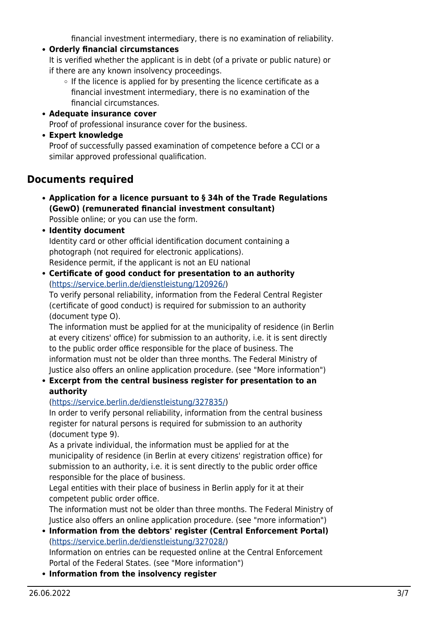financial investment intermediary, there is no examination of reliability.

**Orderly financial circumstances**

It is verified whether the applicant is in debt (of a private or public nature) or if there are any known insolvency proceedings.

- $\circ$  If the licence is applied for by presenting the licence certificate as a financial investment intermediary, there is no examination of the financial circumstances.
- **Adequate insurance cover** Proof of professional insurance cover for the business.
- **Expert knowledge**

Proof of successfully passed examination of competence before a CCI or a similar approved professional qualification.

# <span id="page-2-0"></span>**Documents required**

**Application for a licence pursuant to § 34h of the Trade Regulations (GewO) (remunerated financial investment consultant)**

Possible online; or you can use the form.

- **Identity document** Identity card or other official identification document containing a photograph (not required for electronic applications). Residence permit, if the applicant is not an EU national
- **Certificate of good conduct for presentation to an authority** (<https://service.berlin.de/dienstleistung/120926/>)

To verify personal reliability, information from the Federal Central Register (certificate of good conduct) is required for submission to an authority (document type O).

The information must be applied for at the municipality of residence (in Berlin at every citizens' office) for submission to an authority, i.e. it is sent directly to the public order office responsible for the place of business. The information must not be older than three months. The Federal Ministry of Justice also offers an online application procedure. (see "More information")

#### **Excerpt from the central business register for presentation to an authority**

#### (<https://service.berlin.de/dienstleistung/327835/>)

In order to verify personal reliability, information from the central business register for natural persons is required for submission to an authority (document type 9).

As a private individual, the information must be applied for at the municipality of residence (in Berlin at every citizens' registration office) for submission to an authority, i.e. it is sent directly to the public order office responsible for the place of business.

Legal entities with their place of business in Berlin apply for it at their competent public order office.

The information must not be older than three months. The Federal Ministry of Justice also offers an online application procedure. (see "more information")

- **Information from the debtors' register (Central Enforcement Portal)** (<https://service.berlin.de/dienstleistung/327028/>) Information on entries can be requested online at the Central Enforcement Portal of the Federal States. (see "More information")
- **Information from the insolvency register**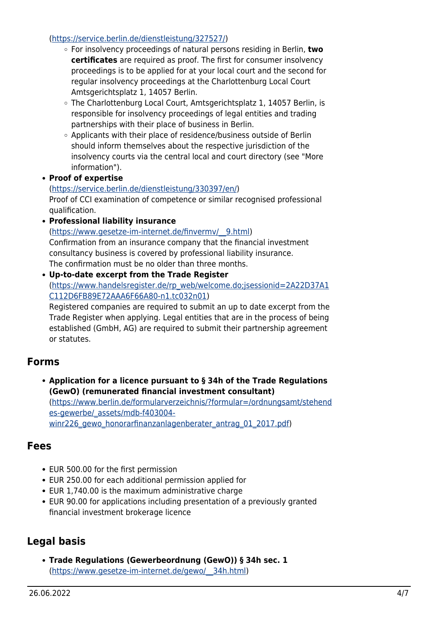#### (<https://service.berlin.de/dienstleistung/327527/>)

- For insolvency proceedings of natural persons residing in Berlin, **two certificates** are required as proof. The first for consumer insolvency proceedings is to be applied for at your local court and the second for regular insolvency proceedings at the Charlottenburg Local Court Amtsgerichtsplatz 1, 14057 Berlin.
- The Charlottenburg Local Court, Amtsgerichtsplatz 1, 14057 Berlin, is responsible for insolvency proceedings of legal entities and trading partnerships with their place of business in Berlin.
- Applicants with their place of residence/business outside of Berlin should inform themselves about the respective jurisdiction of the insolvency courts via the central local and court directory (see "More information").
- **Proof of expertise**

#### ([https://service.berlin.de/dienstleistung/330397/en/\)](https://service.berlin.de/dienstleistung/330397/en/)

Proof of CCI examination of competence or similar recognised professional qualification.

**Professional liability insurance**

([https://www.gesetze-im-internet.de/finvermv/\\_\\_9.html](https://www.gesetze-im-internet.de/finvermv/__9.html)) Confirmation from an insurance company that the financial investment consultancy business is covered by professional liability insurance. The confirmation must be no older than three months.

**Up-to-date excerpt from the Trade Register** ([https://www.handelsregister.de/rp\\_web/welcome.do;jsessionid=2A22D37A1](https://www.handelsregister.de/rp_web/welcome.do;jsessionid=2A22D37A1C112D6FB89E72AAA6F66A80-n1.tc032n01) [C112D6FB89E72AAA6F66A80-n1.tc032n01](https://www.handelsregister.de/rp_web/welcome.do;jsessionid=2A22D37A1C112D6FB89E72AAA6F66A80-n1.tc032n01)) Registered companies are required to submit an up to date excerpt from the

Trade Register when applying. Legal entities that are in the process of being established (GmbH, AG) are required to submit their partnership agreement or statutes.

## <span id="page-3-0"></span>**Forms**

**Application for a licence pursuant to § 34h of the Trade Regulations (GewO) (remunerated financial investment consultant)** ([https://www.berlin.de/formularverzeichnis/?formular=/ordnungsamt/stehend](https://www.berlin.de/formularverzeichnis/?formular=/ordnungsamt/stehendes-gewerbe/_assets/mdb-f403004-winr226_gewo_honorarfinanzanlagenberater_antrag_01_2017.pdf)

es-gewerbe/ assets/mdb-f403004[winr226\\_gewo\\_honorarfinanzanlagenberater\\_antrag\\_01\\_2017.pdf\)](https://www.berlin.de/formularverzeichnis/?formular=/ordnungsamt/stehendes-gewerbe/_assets/mdb-f403004-winr226_gewo_honorarfinanzanlagenberater_antrag_01_2017.pdf)

### <span id="page-3-1"></span>**Fees**

- EUR 500.00 for the first permission
- EUR 250.00 for each additional permission applied for
- EUR 1,740.00 is the maximum administrative charge
- EUR 90.00 for applications including presentation of a previously granted financial investment brokerage licence

# <span id="page-3-2"></span>**Legal basis**

**Trade Regulations (Gewerbeordnung (GewO)) § 34h sec. 1** ([https://www.gesetze-im-internet.de/gewo/\\_\\_34h.html](https://www.gesetze-im-internet.de/gewo/__34h.html))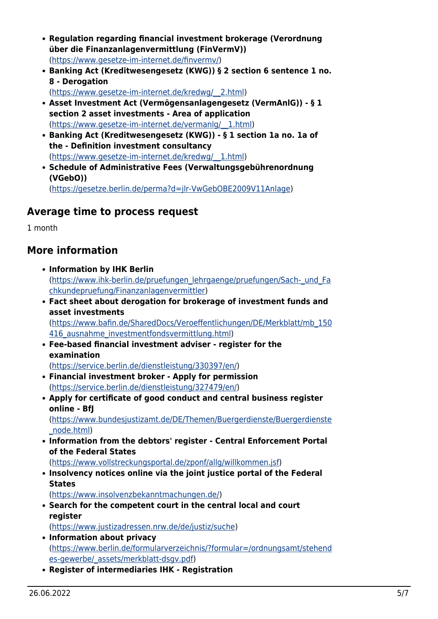- **Regulation regarding financial investment brokerage (Verordnung über die Finanzanlagenvermittlung (FinVermV))** (<https://www.gesetze-im-internet.de/finvermv/>)
- **Banking Act (Kreditwesengesetz (KWG)) § 2 section 6 sentence 1 no. 8 - Derogation**

([https://www.gesetze-im-internet.de/kredwg/\\_\\_2.html\)](https://www.gesetze-im-internet.de/kredwg/__2.html)

- **Asset Investment Act (Vermögensanlagengesetz (VermAnlG)) § 1 section 2 asset investments - Area of application** ([https://www.gesetze-im-internet.de/vermanlg/\\_\\_1.html](https://www.gesetze-im-internet.de/vermanlg/__1.html))
- **Banking Act (Kreditwesengesetz (KWG)) § 1 section 1a no. 1a of the - Definition investment consultancy** ([https://www.gesetze-im-internet.de/kredwg/\\_\\_1.html\)](https://www.gesetze-im-internet.de/kredwg/__1.html)
- **Schedule of Administrative Fees (Verwaltungsgebührenordnung (VGebO))** ([https://gesetze.berlin.de/perma?d=jlr-VwGebOBE2009V11Anlage\)](https://gesetze.berlin.de/perma?d=jlr-VwGebOBE2009V11Anlage)

## <span id="page-4-0"></span>**Average time to process request**

1 month

## <span id="page-4-1"></span>**More information**

- **Information by IHK Berlin** ([https://www.ihk-berlin.de/pruefungen\\_lehrgaenge/pruefungen/Sach-\\_und\\_Fa](https://www.ihk-berlin.de/pruefungen_lehrgaenge/pruefungen/Sach-_und_Fachkundepruefung/Finanzanlagenvermittler) [chkundepruefung/Finanzanlagenvermittler\)](https://www.ihk-berlin.de/pruefungen_lehrgaenge/pruefungen/Sach-_und_Fachkundepruefung/Finanzanlagenvermittler)
- **Fact sheet about derogation for brokerage of investment funds and asset investments**

([https://www.bafin.de/SharedDocs/Veroeffentlichungen/DE/Merkblatt/mb\\_150](https://www.bafin.de/SharedDocs/Veroeffentlichungen/DE/Merkblatt/mb_150416_ausnahme_investmentfondsvermittlung.html) 416 ausnahme investmentfondsvermittlung.html)

**Fee-based financial investment adviser - register for the examination**

([https://service.berlin.de/dienstleistung/330397/en/\)](https://service.berlin.de/dienstleistung/330397/en/)

- **Financial investment broker Apply for permission** ([https://service.berlin.de/dienstleistung/327479/en/\)](https://service.berlin.de/dienstleistung/327479/en/)
- **Apply for certificate of good conduct and central business register online - BfJ**

([https://www.bundesjustizamt.de/DE/Themen/Buergerdienste/Buergerdienste](https://www.bundesjustizamt.de/DE/Themen/Buergerdienste/Buergerdienste_node.html) [\\_node.html](https://www.bundesjustizamt.de/DE/Themen/Buergerdienste/Buergerdienste_node.html))

**Information from the debtors' register - Central Enforcement Portal of the Federal States**

(<https://www.vollstreckungsportal.de/zponf/allg/willkommen.jsf>)

**Insolvency notices online via the joint justice portal of the Federal States**

(<https://www.insolvenzbekanntmachungen.de/>)

- **Search for the competent court in the central local and court register** ([https://www.justizadressen.nrw.de/de/justiz/suche\)](https://www.justizadressen.nrw.de/de/justiz/suche)
- **Information about privacy** ([https://www.berlin.de/formularverzeichnis/?formular=/ordnungsamt/stehend](https://www.berlin.de/formularverzeichnis/?formular=/ordnungsamt/stehendes-gewerbe/_assets/merkblatt-dsgv.pdf) [es-gewerbe/\\_assets/merkblatt-dsgv.pdf\)](https://www.berlin.de/formularverzeichnis/?formular=/ordnungsamt/stehendes-gewerbe/_assets/merkblatt-dsgv.pdf)
- **Register of intermediaries IHK Registration**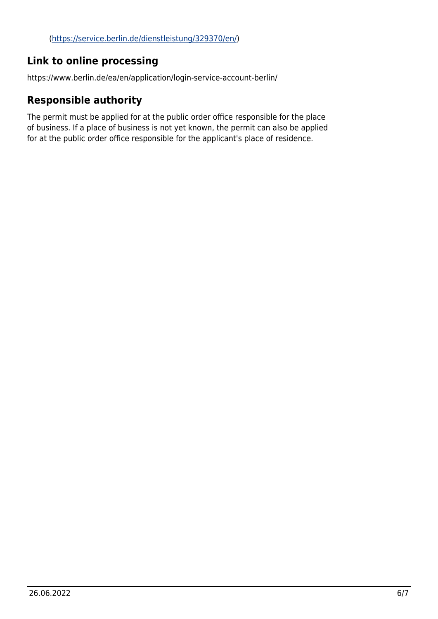# <span id="page-5-0"></span>**Link to online processing**

https://www.berlin.de/ea/en/application/login-service-account-berlin/

## <span id="page-5-1"></span>**Responsible authority**

The permit must be applied for at the public order office responsible for the place of business. If a place of business is not yet known, the permit can also be applied for at the public order office responsible for the applicant's place of residence.